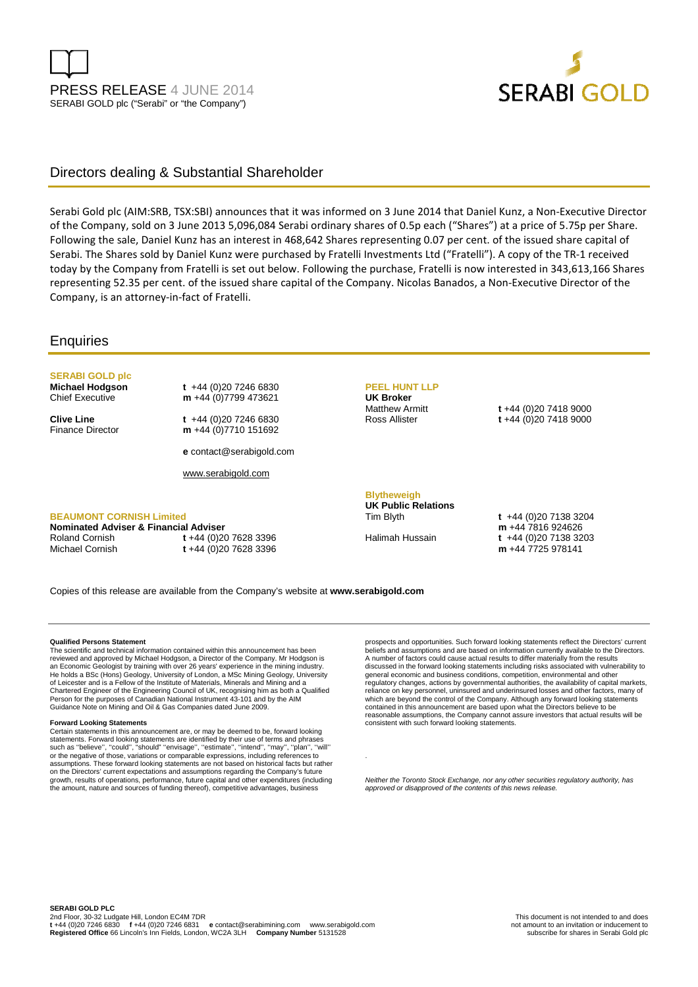



## Directors dealing & Substantial Shareholder

Serabi Gold plc (AIM:SRB, TSX:SBI) announces that it was informed on 3 June 2014 that Daniel Kunz, a Non-Executive Director of the Company, sold on 3 June 2013 5,096,084 Serabi ordinary shares of 0.5p each ("Shares") at a price of 5.75p per Share. Following the sale, Daniel Kunz has an interest in 468,642 Shares representing 0.07 per cent. of the issued share capital of Serabi. The Shares sold by Daniel Kunz were purchased by Fratelli Investments Ltd ("Fratelli"). A copy of the TR-1 received today by the Company from Fratelli is set out below. Following the purchase, Fratelli is now interested in 343,613,166 Shares representing 52.35 per cent. of the issued share capital of the Company. Nicolas Banados, a Non-Executive Director of the Company, is an attorney-in-fact of Fratelli.

#### **Enquiries**

# **SERABI GOLD plc**

**Michael Hodgson t** +44 (0)20 7246 6830<br>Chief Executive **m** +44 (0)7799 473621 m +44 (0)7799 473621

**Clive Line** t +44 (0)20 7246 6830<br>Finance Director **m** +44 (0)7710 151692 m +44 (0)7710 151692

**e** contact@serabigold.com

www.serabigold.com

#### **BEAUMONT CORNISH Limited**

**Nominated Adviser & Financial Adviser** 

Roland Cornish **t** +44 (0)20 7628 3396 Michael Cornish **t** +44 (0)20 7628 3396

### **PEEL HUNT LLP**

**UK Broker**

Matthew Armitt **t** +44 (0)20 7418 9000 Ross Allister **t** +44 (0)20 7418 9000

**Blytheweigh UK Public Relations** 

.

Tim Blyth **t** +44 (0)20 7138 3204 **m** +44 7816 924626 Halimah Hussain **t** +44 (0)20 7138 3203 **m** +44 7725 978141

Copies of this release are available from the Company's website at **www.serabigold.com** 

#### **Qualified Persons Statement**

The scientific and technical information contained within this announcement has been reviewed and approved by Michael Hodgson, a Director of the Company. Mr Hodgson is an Economic Geologist by training with over 26 years' experience in the mining industry. He holds a BSc (Hons) Geology, University of London, a MSc Mining Geology, University of Leicester and is a Fellow of the Institute of Materials, Minerals and Mining and a<br>Chartered Engineer of the Engineering Council of UK, recognising him as both a Qualified<br>Person for the purposes of Canadian National In Guidance Note on Mining and Oil & Gas Companies dated June 2009.

#### **Forward Looking Statements**

Certain statements in this announcement are, or may be deemed to be, forward looking statements. Forward looking statements are identified by their use of terms and phrases<br>such as "believe", "could", "should" "envisage", "estimate", "intend", "may", "plan", "will"<br>or the negative of those, variations or c assumptions. These forward looking statements are not based on historical facts but rather on the Directors' current expectations and assumptions regarding the Company's future<br>growth, results of operations, performance, future capital and other expenditures (including<br>the amount, nature and sources of funding t prospects and opportunities. Such forward looking statements reflect the Directors' current beliefs and assumptions and are based on information currently available to the Directors. A number of factors could cause actual results to differ materially from the results discussed in the forward looking statements including risks associated with vulnerability to general economic and business conditions, competition, environmental and other regulatory changes, actions by governmental authorities, the availability of capital markets, reliance on key personnel, uninsured and underinsured losses and other factors, many of which are beyond the control of the Company. Although any forward looking statements contained in this announcement are based upon what the Directors believe to be reasonable assumptions, the Company cannot assure investors that actual results will be consistent with such forward looking statements.

Neither the Toronto Stock Exchange, nor any other securities regulatory authority, has approved or disapproved of the contents of this news release.

**SERABI GOLD PLC**  2nd Floor, 30-32 Ludgate Hill, London EC4M 7DR<br>t +44 (0)20 7246 6830 f +44 (0)20 7246 6831 e contact@serabimining.com www.serabigold.com not amount to an invitation or inducement to **Registered Office** 66 Lincoln's Inn Fields, London, WC2A 3LH **Company Number** 5131528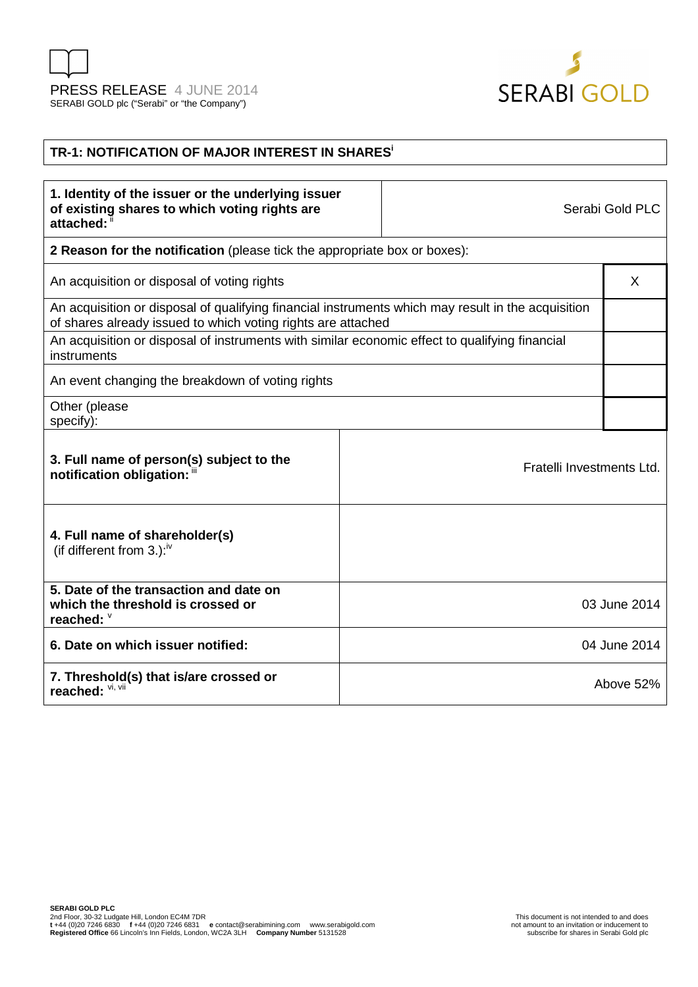



## **TR-1: NOTIFICATION OF MAJOR INTEREST IN SHARES<sup>i</sup>**

| 1. Identity of the issuer or the underlying issuer<br>of existing shares to which voting rights are<br>attached: ii                                                |              |                           | Serabi Gold PLC |
|--------------------------------------------------------------------------------------------------------------------------------------------------------------------|--------------|---------------------------|-----------------|
| 2 Reason for the notification (please tick the appropriate box or boxes):                                                                                          |              |                           |                 |
| An acquisition or disposal of voting rights                                                                                                                        |              |                           | X               |
| An acquisition or disposal of qualifying financial instruments which may result in the acquisition<br>of shares already issued to which voting rights are attached |              |                           |                 |
| An acquisition or disposal of instruments with similar economic effect to qualifying financial<br>instruments                                                      |              |                           |                 |
| An event changing the breakdown of voting rights                                                                                                                   |              |                           |                 |
| Other (please<br>specify):                                                                                                                                         |              |                           |                 |
| 3. Full name of person(s) subject to the<br>notification obligation: "                                                                                             |              | Fratelli Investments Ltd. |                 |
| 4. Full name of shareholder(s)<br>(if different from 3.): $\mu$                                                                                                    |              |                           |                 |
| 5. Date of the transaction and date on<br>which the threshold is crossed or<br>reached: V                                                                          | 03 June 2014 |                           |                 |
| 6. Date on which issuer notified:                                                                                                                                  |              | 04 June 2014              |                 |
| 7. Threshold(s) that is/are crossed or<br>reached: Vi, Vii                                                                                                         |              | Above 52%                 |                 |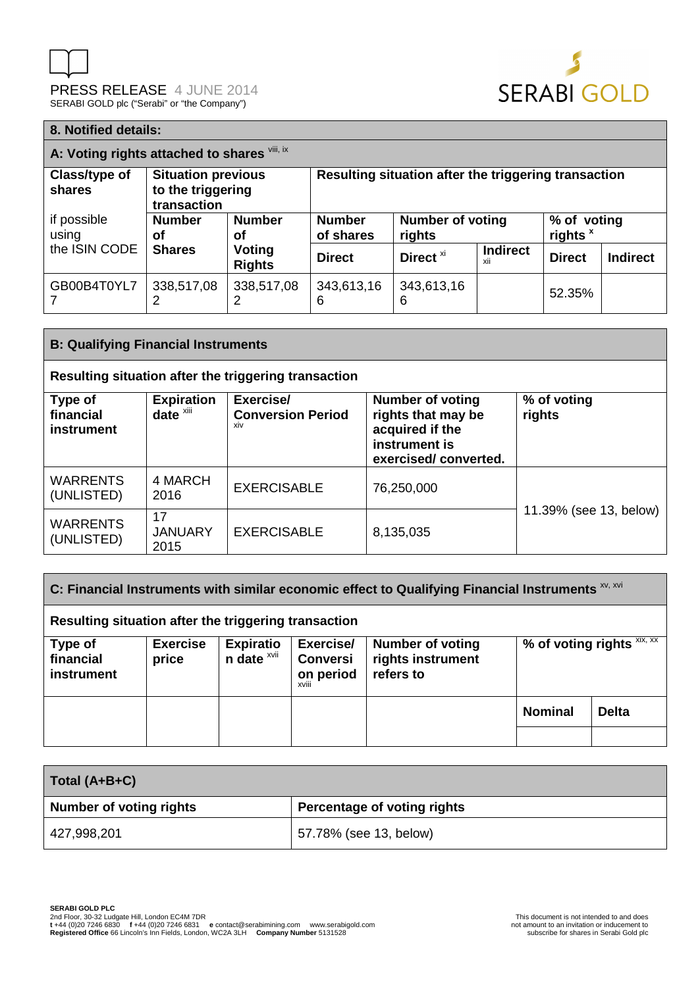

| 8. Notified details:                                                                     |                     |                                                      |                            |                                   |                        |                                    |                 |
|------------------------------------------------------------------------------------------|---------------------|------------------------------------------------------|----------------------------|-----------------------------------|------------------------|------------------------------------|-----------------|
| A: Voting rights attached to shares Vili, ix                                             |                     |                                                      |                            |                                   |                        |                                    |                 |
| <b>Situation previous</b><br>Class/type of<br>to the triggering<br>shares<br>transaction |                     | Resulting situation after the triggering transaction |                            |                                   |                        |                                    |                 |
| if possible<br>using                                                                     | <b>Number</b><br>Οf | <b>Number</b><br>Οf                                  | <b>Number</b><br>of shares | <b>Number of voting</b><br>rights |                        | % of voting<br>rights <sup>x</sup> |                 |
| the ISIN CODE                                                                            | <b>Shares</b>       | Voting<br><b>Rights</b>                              | <b>Direct</b>              | Direct <sup>xi</sup>              | <b>Indirect</b><br>xii | <b>Direct</b>                      | <b>Indirect</b> |
| GB00B4T0YL7                                                                              | 338,517,08<br>2     | 338,517,08<br>2                                      | 343,613,16<br>6            | 343,613,16<br>6                   |                        | 52.35%                             |                 |

| <b>B: Qualifying Financial Instruments</b>           |                               |                                              |                                                                                                           |                        |
|------------------------------------------------------|-------------------------------|----------------------------------------------|-----------------------------------------------------------------------------------------------------------|------------------------|
| Resulting situation after the triggering transaction |                               |                                              |                                                                                                           |                        |
| Type of<br>financial<br>instrument                   | <b>Expiration</b><br>date $x$ | Exercise/<br><b>Conversion Period</b><br>xiv | <b>Number of voting</b><br>rights that may be<br>acquired if the<br>instrument is<br>exercised/converted. | % of voting<br>rights  |
| <b>WARRENTS</b><br>(UNLISTED)                        | 4 MARCH<br>2016               | <b>EXERCISABLE</b>                           | 76,250,000                                                                                                |                        |
| <b>WARRENTS</b><br>(UNLISTED)                        | 17<br><b>JANUARY</b><br>2015  | <b>EXERCISABLE</b>                           | 8,135,035                                                                                                 | 11.39% (see 13, below) |

| C: Financial Instruments with similar economic effect to Qualifying Financial Instruments XV, XVI |                          |                                 |                                                    |                                                           |                                                  |              |
|---------------------------------------------------------------------------------------------------|--------------------------|---------------------------------|----------------------------------------------------|-----------------------------------------------------------|--------------------------------------------------|--------------|
| Resulting situation after the triggering transaction                                              |                          |                                 |                                                    |                                                           |                                                  |              |
| Type of<br>financial<br>instrument                                                                | <b>Exercise</b><br>price | <b>Expiratio</b><br>n date xvii | Exercise/<br><b>Conversi</b><br>on period<br>xviii | <b>Number of voting</b><br>rights instrument<br>refers to | % of voting rights $\frac{x}{x}$ , $\frac{x}{x}$ |              |
|                                                                                                   |                          |                                 |                                                    |                                                           | <b>Nominal</b>                                   | <b>Delta</b> |
|                                                                                                   |                          |                                 |                                                    |                                                           |                                                  |              |

| Total (A+B+C)           |                             |
|-------------------------|-----------------------------|
| Number of voting rights | Percentage of voting rights |
| 427,998,201             | 57.78% (see 13, below)      |